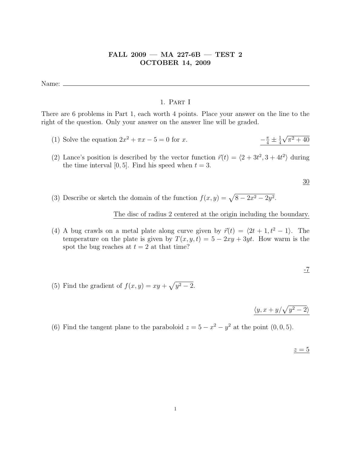# FALL 2009 — MA 227-6B — TEST 2 OCTOBER 14, 2009

Name:

## 1. Part I

There are 6 problems in Part 1, each worth 4 points. Place your answer on the line to the right of the question. Only your answer on the answer line will be graded.

- (1) Solve the equation  $2x^2 + \pi x 5 = 0$  for x. −  $\frac{\pi}{4} \pm \frac{1}{4}$ 4 √  $\pi^2 + 40$
- (2) Lance's position is described by the vector function  $\vec{r}(t) = \langle 2 + 3t^2, 3 + 4t^2 \rangle$  during the time interval [0, 5]. Find his speed when  $t = 3$ .

30

(3) Describe or sketch the domain of the function  $f(x, y) = \sqrt{8 - 2x^2 - 2y^2}$ .

The disc of radius 2 centered at the origin including the boundary.

(4) A bug crawls on a metal plate along curve given by  $\vec{r}(t) = \langle 2t + 1, t^2 - 1 \rangle$ . The temperature on the plate is given by  $T(x, y, t) = 5 - 2xy + 3yt$ . How warm is the spot the bug reaches at  $t = 2$  at that time?

$$
\overline{1}
$$

(5) Find the gradient of  $f(x, y) = xy + \sqrt{y^2 - 2}$ .

 $\langle y, x+y/\sqrt{y^2-2} \rangle$ 

(6) Find the tangent plane to the paraboloid  $z = 5 - x^2 - y^2$  at the point  $(0, 0, 5)$ .

 $z = 5$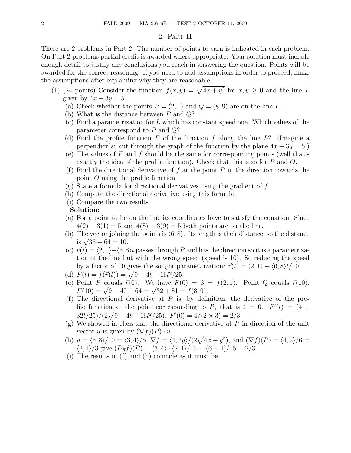#### 2. Part II

There are 2 problems in Part 2. The number of points to earn is indicated in each problem. On Part 2 problems partial credit is awarded where appropriate. Your solution must include enough detail to justify any conclusions you reach in answering the question. Points will be awarded for the correct reasoning. If you need to add assumptions in order to proceed, make the assumptions after explaining why they are reasonable.

- (1) (24 points) Consider the function  $f(x,y) = \sqrt{4x + y^2}$  for  $x, y \ge 0$  and the line L given by  $4x - 3y = 5$ .
	- (a) Check whether the points  $P = (2, 1)$  and  $Q = (8, 9)$  are on the line L.
	- (b) What is the distance between  $P$  and  $Q$ ?
	- (c) Find a parametrization for L which has constant speed one. Which values of the parameter correspond to P and Q?
	- (d) Find the profile function F of the function f along the line  $L$ ? (Imagine a perpendicular cut through the graph of the function by the plane  $4x - 3y = 5$ .)
	- (e) The values of F and f should be the same for corresponding points (well that's exactly the idea of the profile function). Check that this is so for P and Q.
	- (f) Find the directional derivative of f at the point  $P$  in the direction towards the point Q using the profile function.
	- $(g)$  State a formula for directional derivatives using the gradient of f.
	- (h) Compute the directional derivative using this formula.
	- (i) Compare the two results.

### Solution:

- (a) For a point to be on the line its coordinates have to satisfy the equation. Since  $4(2) - 3(1) = 5$  and  $4(8) - 3(9) = 5$  both points are on the line.
- (b) The vector joining the points is  $(6, 8)$ . Its length is their distance, so the distance is  $\sqrt{36 + 64} = 10$ .
- (c)  $\vec{r}(t) = \langle 2, 1 \rangle + \langle 6, 8 \rangle t$  passes through P and has the direction so it is a parametrization of the line but with the wrong speed (speed is 10). So reducing the speed by a factor of 10 gives the sought parametrization:  $\vec{r}(t) = \langle 2, 1 \rangle + \langle 6, 8 \rangle t/10$ .
- (d)  $F(t) = f(\vec{r}(t)) = \sqrt{9 + 4t + 16t^2/25}.$
- (e) Point P equals  $\vec{r}(0)$ . We have  $F(0) = 3 = f(2, 1)$ . Point Q equals  $\vec{r}(10)$ . Folld P equals  $r(0)$ , we have  $F(0) = 3$ <br> $F(10) = \sqrt{9 + 40 + 64} = \sqrt{32 + 81} = f(8, 9)$ .
- (f) The directional derivative at  $P$  is, by definition, the derivative of the profile function at the point corresponding to P, that is  $t = 0$ .  $F'(t) = (4 +$  $32t/25)/(2\sqrt{9+4t+16t^2/25})$ .  $F'(0) = 4/(2 \times 3) = 2/3$ .
- $(g)$  We showed in class that the directional derivative at P in direction of the unit vector  $\vec{u}$  is given by  $(\nabla f)(P) \cdot \vec{u}$ .
- (h)  $\vec{u} = \langle 6, 8 \rangle / 10 = \langle 3, 4 \rangle / 5$ ,  $\nabla f = \langle 4, 2y \rangle / (2\sqrt{4x + y^2})$ , and  $(\nabla f)(P) = \langle 4, 2 \rangle / 6 =$  $\langle 2, 1 \rangle /3$  give  $(D_{\vec{u}}f)(P) = \langle 3, 4 \rangle \cdot \langle 2, 1 \rangle /15 = (6 + 4)/15 = 2/3.$
- (i) The results in (f) and (h) coincide as it must be.